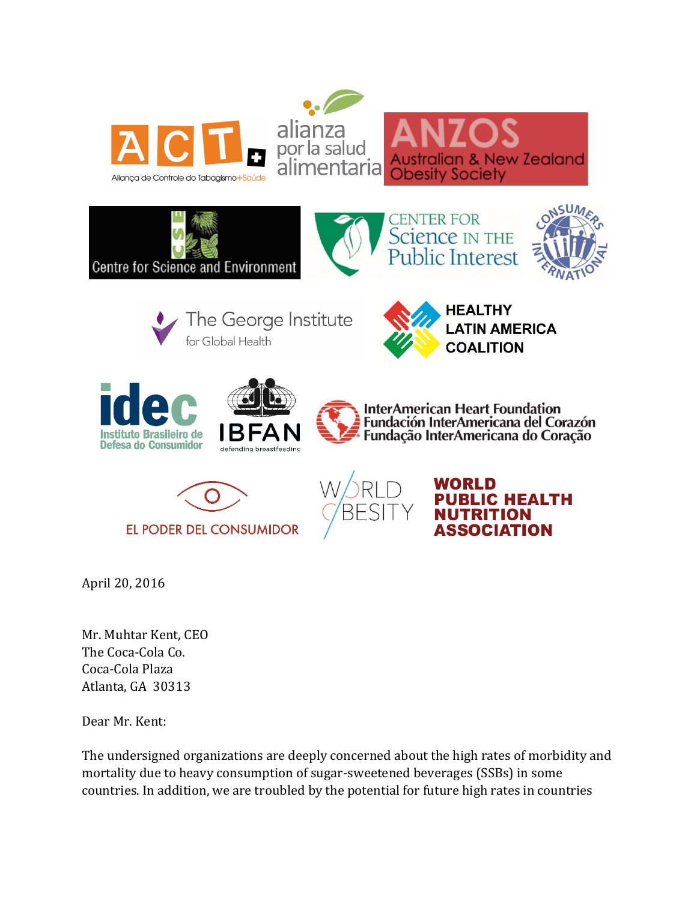









The George Institute for Global Health







**InterAmerican Heart Foundation** Fundación InterAmericana del Corazón





ORLD **BLIC HEALTH** ITRITION Association

alian & New Zealand

April 20, 2016

Mr. Muhtar Kent, CEO The Coca-Cola Co. Coca-Cola Plaza Atlanta, GA 30313

Dear Mr. Kent:

The undersigned organizations are deeply concerned about the high rates of morbidity and mortality due to heavy consumption of sugar-sweetened beverages (SSBs) in some countries. In addition, we are troubled by the potential for future high rates in countries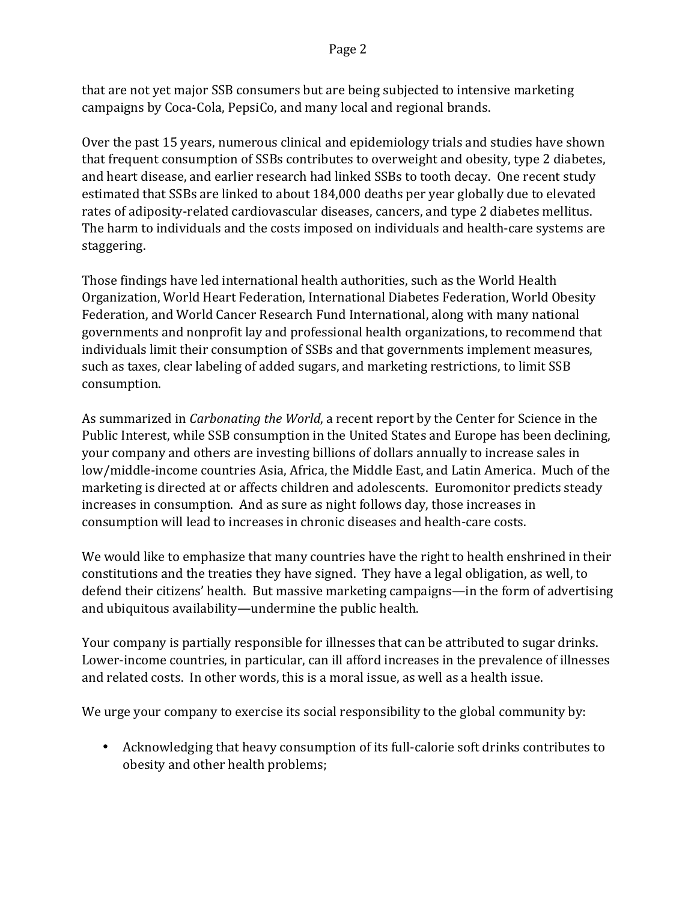that are not yet major SSB consumers but are being subjected to intensive marketing campaigns by Coca-Cola, PepsiCo, and many local and regional brands.

Over the past 15 years, numerous clinical and epidemiology trials and studies have shown that frequent consumption of SSBs contributes to overweight and obesity, type 2 diabetes, and heart disease, and earlier research had linked SSBs to tooth decay. One recent study estimated that SSBs are linked to about 184,000 deaths per year globally due to elevated rates of adiposity-related cardiovascular diseases, cancers, and type 2 diabetes mellitus. The harm to individuals and the costs imposed on individuals and health-care systems are staggering. 

Those findings have led international health authorities, such as the World Health Organization, World Heart Federation, International Diabetes Federation, World Obesity Federation, and World Cancer Research Fund International, along with many national governments and nonprofit lay and professional health organizations, to recommend that individuals limit their consumption of SSBs and that governments implement measures, such as taxes, clear labeling of added sugars, and marketing restrictions, to limit SSB consumption.

As summarized in *Carbonating the World*, a recent report by the Center for Science in the Public Interest, while SSB consumption in the United States and Europe has been declining, your company and others are investing billions of dollars annually to increase sales in low/middle-income countries Asia, Africa, the Middle East, and Latin America. Much of the marketing is directed at or affects children and adolescents. Euromonitor predicts steady increases in consumption. And as sure as night follows day, those increases in consumption will lead to increases in chronic diseases and health-care costs.

We would like to emphasize that many countries have the right to health enshrined in their constitutions and the treaties they have signed. They have a legal obligation, as well, to defend their citizens' health. But massive marketing campaigns—in the form of advertising and ubiquitous availability—undermine the public health.

Your company is partially responsible for illnesses that can be attributed to sugar drinks. Lower-income countries, in particular, can ill afford increases in the prevalence of illnesses and related costs. In other words, this is a moral issue, as well as a health issue.

We urge your company to exercise its social responsibility to the global community by:

• Acknowledging that heavy consumption of its full-calorie soft drinks contributes to obesity and other health problems;